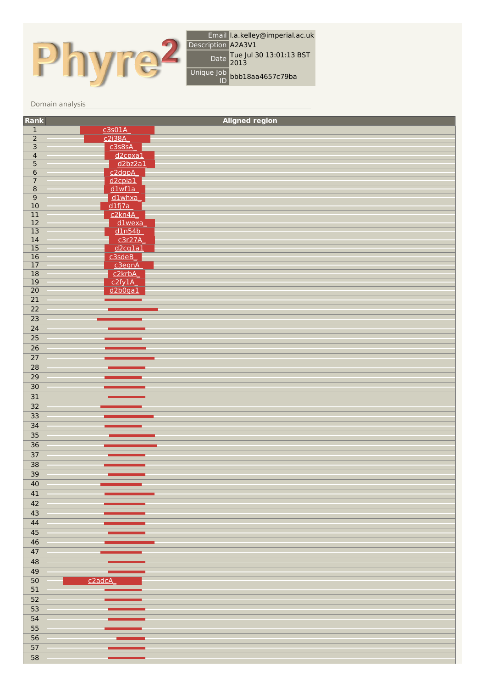

## Domain analysis

| Rank                                 |                         | <b>Aligned region</b> |
|--------------------------------------|-------------------------|-----------------------|
|                                      |                         |                       |
| $\frac{1}{2}$                        | <u>c3s01A</u><br>c2i38A |                       |
|                                      | c3s8sA                  |                       |
| $\frac{3}{4}$                        | d <sub>2cpxa1</sub>     |                       |
| $\overline{\overline{\overline{5}}}$ | d2bz2a1                 |                       |
| $\overline{6}$                       | $c2$ dgpA               |                       |
| $\overline{7}$                       | $d2$ cpia $1$           |                       |
|                                      | dlwf1a                  |                       |
| $\frac{8}{9}$                        | d1whxa                  |                       |
| $\overline{10}$                      | $dlf$ j $7a$            |                       |
| $\overline{11}$                      | c2kn4A                  |                       |
| $\overline{12}$                      | $d1$ wexa               |                       |
| $\overline{13}$                      | dln54b                  |                       |
| $\overline{14}$                      | c3r27A                  |                       |
| $\frac{15}{16}$                      | d2cq1a1                 |                       |
|                                      | c3sdeB                  |                       |
| $\overline{17}$                      | c3egnA                  |                       |
| $\overline{18}$                      | c <sub>2</sub> krbA     |                       |
| $\overline{19}$                      | c2fy1A                  |                       |
| $\overline{20}$                      | d2b0ga1                 |                       |
| $\overline{21}$                      |                         |                       |
| $\overline{22}$                      |                         |                       |
| $\overline{23}$                      |                         |                       |
| $\overline{24}$                      |                         |                       |
| $\overline{25}$                      |                         |                       |
| $\overline{26}$                      |                         |                       |
| $\overline{27}$                      |                         |                       |
| $\overline{28}$                      |                         |                       |
| $\overline{29}$                      |                         |                       |
| $\overline{30}$                      |                         |                       |
|                                      |                         |                       |
| $\overline{31}$                      |                         |                       |
| $\overline{32}$                      |                         |                       |
| 33                                   |                         |                       |
| 34                                   |                         |                       |
| $\overline{35}$                      |                         |                       |
| $\overline{36}$                      |                         |                       |
| 37                                   |                         |                       |
| 38                                   |                         |                       |
| $\overline{39}$                      |                         |                       |
| 40                                   |                         |                       |
|                                      |                         |                       |
| 41                                   |                         |                       |
| 42                                   |                         |                       |
| 43                                   |                         |                       |
| 44                                   |                         |                       |
| 45                                   |                         |                       |
| 46                                   |                         |                       |
| 47                                   |                         |                       |
| 48                                   |                         |                       |
| 49                                   |                         |                       |
| $\overline{50}$                      | c <sub>2adcA</sub>      |                       |
| 51                                   |                         |                       |
| 52                                   |                         |                       |
|                                      |                         |                       |
| $\overline{53}$                      |                         |                       |
| 54                                   |                         |                       |
| 55                                   |                         |                       |
| $\overline{56}$                      |                         |                       |
| $\overline{57}$                      |                         |                       |
| $\overline{58}$                      |                         |                       |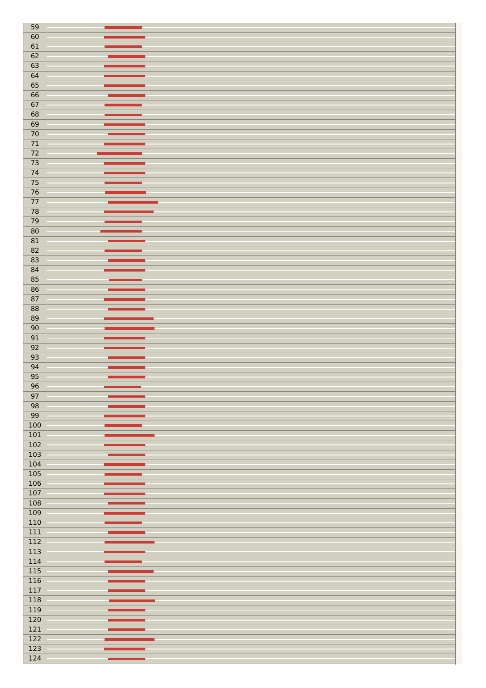| 59                      |                 |  |
|-------------------------|-----------------|--|
| 60                      |                 |  |
|                         |                 |  |
| 61                      |                 |  |
| $\overline{62}$         |                 |  |
|                         |                 |  |
| 63                      |                 |  |
| 64                      |                 |  |
|                         |                 |  |
| $\overline{65}$         |                 |  |
| $\overline{66}$         |                 |  |
|                         |                 |  |
| 67                      |                 |  |
| $\overline{68}$         |                 |  |
|                         |                 |  |
| $\overline{69}$         |                 |  |
| $\overline{70}$         |                 |  |
|                         |                 |  |
| $71\,$                  |                 |  |
| $\overline{72}$         |                 |  |
| $\overline{73}$         |                 |  |
|                         |                 |  |
| 74                      |                 |  |
| 75                      |                 |  |
|                         |                 |  |
| $\overline{76}$         |                 |  |
| 77                      |                 |  |
|                         |                 |  |
| $\overline{78}$         |                 |  |
| 79                      |                 |  |
| 80                      |                 |  |
|                         |                 |  |
| 81                      |                 |  |
| 82                      |                 |  |
|                         |                 |  |
| $\overline{83}$         |                 |  |
| 84                      |                 |  |
|                         |                 |  |
| $\overline{85}$         |                 |  |
| $\overline{86}$         |                 |  |
|                         |                 |  |
| 87                      |                 |  |
| $\overline{\bf 88}$     |                 |  |
|                         |                 |  |
| 89                      |                 |  |
| $\overline{90}$         |                 |  |
|                         |                 |  |
|                         |                 |  |
| 91                      |                 |  |
| 92                      |                 |  |
|                         |                 |  |
| 93                      |                 |  |
| 94                      |                 |  |
|                         |                 |  |
| $\overline{95}$         |                 |  |
| $\overline{96}$         | <u>e an</u>     |  |
|                         | <b>Contract</b> |  |
| 97                      |                 |  |
| 98                      |                 |  |
| $\overline{99}$         |                 |  |
|                         |                 |  |
| 100                     |                 |  |
| 101                     |                 |  |
|                         |                 |  |
| $\overline{102}$        |                 |  |
| $\overline{103}$        |                 |  |
| $\overline{104}$        |                 |  |
|                         |                 |  |
| $\overline{105}$        |                 |  |
| 106                     |                 |  |
|                         |                 |  |
| $\overline{107}$        |                 |  |
| $\overline{108}$        |                 |  |
| $\overline{109}$        |                 |  |
|                         |                 |  |
| $\overline{110}$        |                 |  |
| $\overline{111}$        |                 |  |
|                         |                 |  |
| $\overline{112}$        |                 |  |
| $\overline{113}$        |                 |  |
|                         |                 |  |
| $\overline{114}$        |                 |  |
| $\overline{115}$        |                 |  |
| $\overline{116}$        |                 |  |
|                         |                 |  |
| $\overline{117}$        |                 |  |
| $\overline{118}$        |                 |  |
|                         |                 |  |
| $\overline{119}$        |                 |  |
| 120                     |                 |  |
|                         |                 |  |
| $\overline{121}$        |                 |  |
| $\overline{122}$        |                 |  |
|                         |                 |  |
| $\overline{123}$<br>124 |                 |  |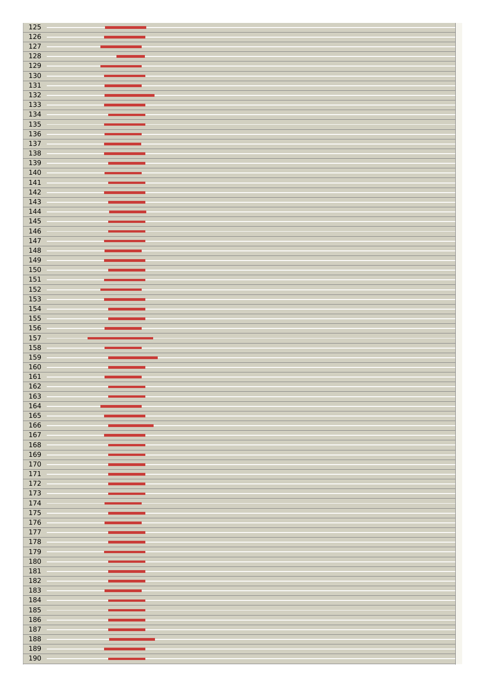| 125              |              |
|------------------|--------------|
| $\overline{126}$ |              |
|                  |              |
| $\overline{127}$ |              |
| $\overline{128}$ |              |
|                  |              |
| 129              |              |
| 130              |              |
|                  |              |
| 131              |              |
| $\overline{132}$ |              |
|                  |              |
| $\overline{133}$ |              |
| 134              |              |
| $\overline{135}$ |              |
|                  |              |
| 136              |              |
| $\overline{137}$ |              |
|                  |              |
| 138              |              |
| 139              |              |
| 140              |              |
|                  |              |
| 141              |              |
| $\overline{142}$ |              |
|                  |              |
| $\overline{143}$ |              |
| 144              |              |
|                  |              |
| 145              |              |
| 146              |              |
| 147              |              |
|                  |              |
| 148              |              |
| 149              |              |
|                  |              |
| 150              |              |
| 151              |              |
| $\overline{152}$ |              |
|                  |              |
| $\overline{153}$ |              |
| 154              |              |
| 155              |              |
|                  |              |
| $\overline{156}$ |              |
| $\overline{157}$ |              |
|                  |              |
|                  |              |
| 158              |              |
| 159              |              |
|                  |              |
| 160              |              |
| 161              |              |
| $\overline{162}$ | <b>STATE</b> |
|                  |              |
| 163              |              |
| 164              |              |
| 165              |              |
|                  |              |
| 166              |              |
| 167              |              |
|                  |              |
| 168              |              |
| 169              |              |
| 170              |              |
| $\overline{171}$ |              |
|                  |              |
| $\overline{172}$ |              |
| $\overline{173}$ |              |
|                  |              |
| 174              |              |
| $\overline{175}$ |              |
| 176              |              |
|                  |              |
| 177              |              |
| 178              |              |
| 179              |              |
|                  |              |
| 180              |              |
| 181              |              |
| $\overline{182}$ |              |
|                  |              |
| $\overline{183}$ |              |
| 184              |              |
|                  |              |
| 185              |              |
| 186              |              |
| 187              |              |
|                  |              |
| 188              |              |
| 189<br>190       |              |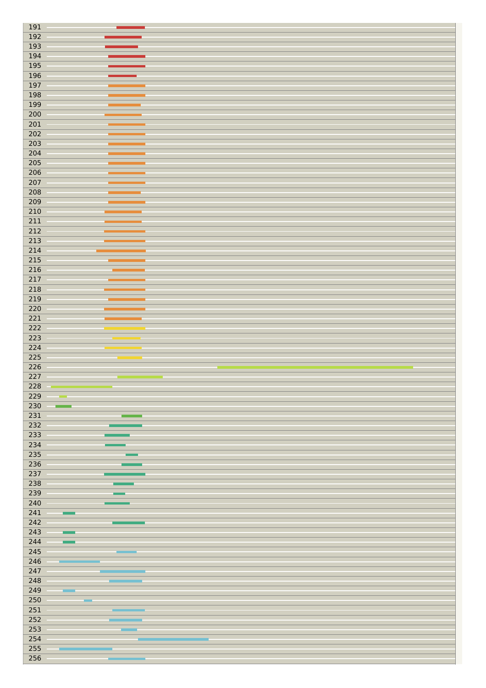| 191                                           |                 |  |
|-----------------------------------------------|-----------------|--|
| 192                                           |                 |  |
|                                               |                 |  |
| 193                                           |                 |  |
| 194                                           |                 |  |
| 195                                           |                 |  |
|                                               |                 |  |
| 196                                           |                 |  |
| 197                                           |                 |  |
| 198                                           |                 |  |
|                                               |                 |  |
| 199                                           |                 |  |
| 200                                           |                 |  |
| $\overline{201}$                              |                 |  |
| 202                                           |                 |  |
|                                               |                 |  |
| 203                                           |                 |  |
| 204                                           |                 |  |
| 205                                           |                 |  |
| 206                                           |                 |  |
|                                               |                 |  |
| 207                                           |                 |  |
| $\overline{208}$                              |                 |  |
| 209                                           |                 |  |
| $\overline{210}$                              |                 |  |
|                                               |                 |  |
| $\overline{211}$                              |                 |  |
| $\overline{212}$                              |                 |  |
| $\overline{213}$                              |                 |  |
| $\overline{214}$                              |                 |  |
|                                               |                 |  |
| $\overline{215}$                              |                 |  |
| 216                                           |                 |  |
| $\overline{217}$                              |                 |  |
| 218                                           |                 |  |
|                                               |                 |  |
| 219                                           |                 |  |
| 220                                           |                 |  |
| $\overline{221}$                              |                 |  |
| $\overline{222}$                              |                 |  |
|                                               |                 |  |
| $\overline{223}$                              |                 |  |
|                                               |                 |  |
| 224                                           |                 |  |
|                                               |                 |  |
| $\overline{225}$                              |                 |  |
| 226                                           |                 |  |
| 227                                           |                 |  |
| 228                                           |                 |  |
|                                               |                 |  |
| 229                                           |                 |  |
| $\overline{\mathbf{230}}$                     |                 |  |
| $\overline{231}$                              |                 |  |
| $\overline{232}$                              |                 |  |
|                                               |                 |  |
| $\overline{233}$                              |                 |  |
| 234                                           |                 |  |
| 235                                           |                 |  |
| $\overline{236}$                              |                 |  |
| $\overline{237}$                              |                 |  |
|                                               |                 |  |
| $\overline{238}$                              |                 |  |
| 239                                           |                 |  |
| $\overline{240}$                              |                 |  |
| $\overline{241}$                              |                 |  |
|                                               |                 |  |
| $\overline{242}$                              |                 |  |
| $\overline{243}$                              |                 |  |
| 244                                           |                 |  |
| 245                                           |                 |  |
|                                               |                 |  |
| $\overline{246}$                              |                 |  |
| $\overline{247}$                              |                 |  |
| 248                                           |                 |  |
|                                               |                 |  |
| 249                                           |                 |  |
| $\overline{\mathbf{250}}$                     | <b>Contract</b> |  |
| $\overline{251}$                              |                 |  |
| $\overline{252}$                              |                 |  |
|                                               |                 |  |
| $\overline{253}$                              |                 |  |
| $\overline{254}$                              |                 |  |
| $\overline{\mathbf{255}}$<br>$\overline{256}$ |                 |  |